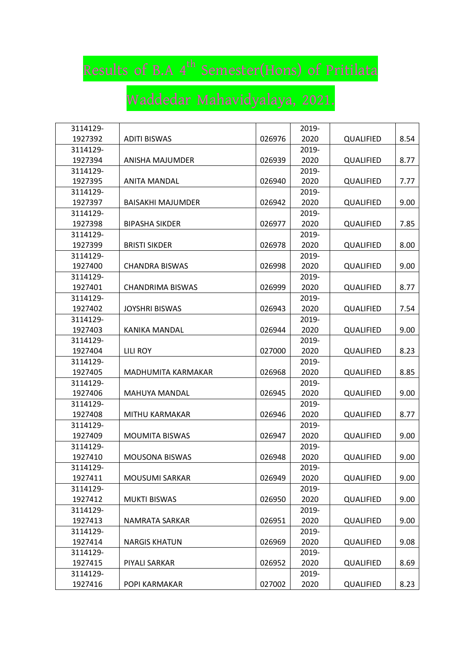## Results of B.A 4<sup>th</sup> Semester(Hons) of Pritilata

## Waddedar Mahavidyalaya, 2021.

| 3114129- |                          |        | 2019- |                  |      |
|----------|--------------------------|--------|-------|------------------|------|
| 1927392  | <b>ADITI BISWAS</b>      | 026976 | 2020  | QUALIFIED        | 8.54 |
| 3114129- |                          |        | 2019- |                  |      |
| 1927394  | <b>ANISHA MAJUMDER</b>   | 026939 | 2020  | QUALIFIED        | 8.77 |
| 3114129- |                          |        | 2019- |                  |      |
| 1927395  | <b>ANITA MANDAL</b>      | 026940 | 2020  | QUALIFIED        | 7.77 |
| 3114129- |                          |        | 2019- |                  |      |
| 1927397  | <b>BAISAKHI MAJUMDER</b> | 026942 | 2020  | <b>QUALIFIED</b> | 9.00 |
| 3114129- |                          |        | 2019- |                  |      |
| 1927398  | <b>BIPASHA SIKDER</b>    | 026977 | 2020  | <b>QUALIFIED</b> | 7.85 |
| 3114129- |                          |        | 2019- |                  |      |
| 1927399  | <b>BRISTI SIKDER</b>     | 026978 | 2020  | QUALIFIED        | 8.00 |
| 3114129- |                          |        | 2019- |                  |      |
| 1927400  | <b>CHANDRA BISWAS</b>    | 026998 | 2020  | <b>QUALIFIED</b> | 9.00 |
| 3114129- |                          |        | 2019- |                  |      |
| 1927401  | <b>CHANDRIMA BISWAS</b>  | 026999 | 2020  | QUALIFIED        | 8.77 |
| 3114129- |                          |        | 2019- |                  |      |
| 1927402  | <b>JOYSHRI BISWAS</b>    | 026943 | 2020  | QUALIFIED        | 7.54 |
| 3114129- |                          |        | 2019- |                  |      |
| 1927403  | <b>KANIKA MANDAL</b>     | 026944 | 2020  | QUALIFIED        | 9.00 |
| 3114129- |                          |        | 2019- |                  |      |
| 1927404  | <b>LILI ROY</b>          | 027000 | 2020  | <b>QUALIFIED</b> | 8.23 |
| 3114129- |                          |        | 2019- |                  |      |
| 1927405  | MADHUMITA KARMAKAR       | 026968 | 2020  | QUALIFIED        | 8.85 |
| 3114129- |                          |        | 2019- |                  |      |
| 1927406  | <b>MAHUYA MANDAL</b>     | 026945 | 2020  | QUALIFIED        | 9.00 |
| 3114129- |                          |        | 2019- |                  |      |
| 1927408  | MITHU KARMAKAR           | 026946 | 2020  | <b>QUALIFIED</b> | 8.77 |
| 3114129- |                          |        | 2019- |                  |      |
| 1927409  | <b>MOUMITA BISWAS</b>    | 026947 | 2020  | <b>QUALIFIED</b> | 9.00 |
| 3114129- |                          |        | 2019- |                  |      |
| 1927410  | <b>MOUSONA BISWAS</b>    | 026948 | 2020  | QUALIFIED        | 9.00 |
| 3114129- |                          |        | 2019- |                  |      |
| 1927411  | MOUSUMI SARKAR           | 026949 | 2020  | QUALIFIED        | 9.00 |
| 3114129- |                          |        | 2019- |                  |      |
| 1927412  | <b>MUKTI BISWAS</b>      | 026950 | 2020  | QUALIFIED        | 9.00 |
| 3114129- |                          |        | 2019- |                  |      |
| 1927413  | NAMRATA SARKAR           | 026951 | 2020  | QUALIFIED        | 9.00 |
| 3114129- |                          |        | 2019- |                  |      |
| 1927414  | <b>NARGIS KHATUN</b>     | 026969 | 2020  | <b>QUALIFIED</b> | 9.08 |
| 3114129- |                          |        | 2019- |                  |      |
| 1927415  | PIYALI SARKAR            | 026952 | 2020  | <b>QUALIFIED</b> | 8.69 |
| 3114129- |                          |        | 2019- |                  |      |
| 1927416  | POPI KARMAKAR            | 027002 | 2020  | QUALIFIED        | 8.23 |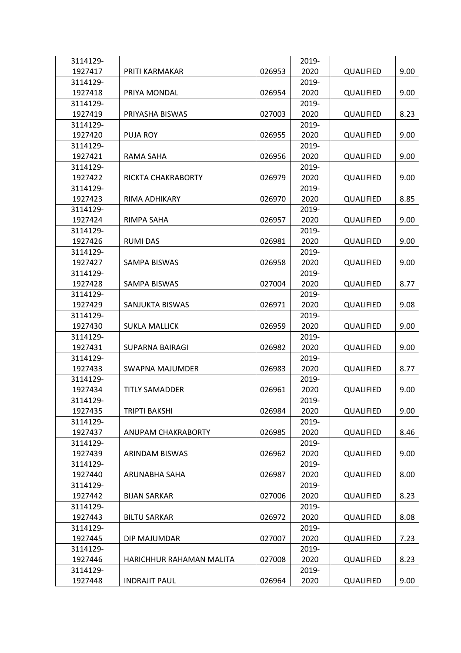| 3114129- |                          |        | 2019- |                  |      |
|----------|--------------------------|--------|-------|------------------|------|
| 1927417  | PRITI KARMAKAR           | 026953 | 2020  | <b>QUALIFIED</b> | 9.00 |
| 3114129- |                          |        | 2019- |                  |      |
| 1927418  | PRIYA MONDAL             | 026954 | 2020  | <b>QUALIFIED</b> | 9.00 |
| 3114129- |                          |        | 2019- |                  |      |
| 1927419  | PRIYASHA BISWAS          | 027003 | 2020  | QUALIFIED        | 8.23 |
| 3114129- |                          |        | 2019- |                  |      |
| 1927420  | <b>PUJA ROY</b>          | 026955 | 2020  | <b>QUALIFIED</b> | 9.00 |
| 3114129- |                          |        | 2019- |                  |      |
| 1927421  | <b>RAMA SAHA</b>         | 026956 | 2020  | <b>QUALIFIED</b> | 9.00 |
| 3114129- |                          |        | 2019- |                  |      |
| 1927422  | RICKTA CHAKRABORTY       | 026979 | 2020  | <b>QUALIFIED</b> | 9.00 |
| 3114129- |                          |        | 2019- |                  |      |
| 1927423  | RIMA ADHIKARY            | 026970 | 2020  | QUALIFIED        | 8.85 |
| 3114129- |                          |        | 2019- |                  |      |
| 1927424  | RIMPA SAHA               | 026957 | 2020  | <b>QUALIFIED</b> | 9.00 |
| 3114129- |                          |        | 2019- |                  |      |
| 1927426  | <b>RUMI DAS</b>          | 026981 | 2020  | QUALIFIED        | 9.00 |
| 3114129- |                          |        | 2019- |                  |      |
| 1927427  | <b>SAMPA BISWAS</b>      | 026958 | 2020  | QUALIFIED        | 9.00 |
| 3114129- |                          |        | 2019- |                  |      |
| 1927428  | <b>SAMPA BISWAS</b>      | 027004 | 2020  | QUALIFIED        | 8.77 |
| 3114129- |                          |        | 2019- |                  |      |
| 1927429  | SANJUKTA BISWAS          | 026971 | 2020  | <b>QUALIFIED</b> | 9.08 |
| 3114129- |                          |        | 2019- |                  |      |
| 1927430  | <b>SUKLA MALLICK</b>     | 026959 | 2020  | QUALIFIED        | 9.00 |
| 3114129- |                          |        | 2019- |                  |      |
| 1927431  | <b>SUPARNA BAIRAGI</b>   | 026982 | 2020  | QUALIFIED        | 9.00 |
| 3114129- |                          |        | 2019- |                  |      |
| 1927433  | SWAPNA MAJUMDER          | 026983 | 2020  | <b>QUALIFIED</b> | 8.77 |
| 3114129- |                          |        | 2019- |                  |      |
| 1927434  | <b>TITLY SAMADDER</b>    | 026961 | 2020  | <b>QUALIFIED</b> | 9.00 |
| 3114129- |                          |        | 2019- |                  |      |
| 1927435  | TRIPTI BAKSHI            | 026984 | 2020  | QUALIFIED        | 9.00 |
| 3114129- |                          |        | 2019- |                  |      |
| 1927437  | ANUPAM CHAKRABORTY       | 026985 | 2020  | QUALIFIED        | 8.46 |
| 3114129- |                          |        | 2019- |                  |      |
| 1927439  | <b>ARINDAM BISWAS</b>    | 026962 | 2020  | QUALIFIED        | 9.00 |
| 3114129- |                          |        | 2019- |                  |      |
| 1927440  | ARUNABHA SAHA            | 026987 | 2020  | QUALIFIED        | 8.00 |
| 3114129- |                          |        | 2019- |                  |      |
| 1927442  | <b>BIJAN SARKAR</b>      | 027006 | 2020  | <b>QUALIFIED</b> | 8.23 |
| 3114129- |                          |        | 2019- |                  |      |
| 1927443  | <b>BILTU SARKAR</b>      | 026972 | 2020  | QUALIFIED        | 8.08 |
| 3114129- |                          |        | 2019- |                  |      |
| 1927445  | DIP MAJUMDAR             | 027007 | 2020  | QUALIFIED        | 7.23 |
| 3114129- |                          |        | 2019- |                  |      |
| 1927446  | HARICHHUR RAHAMAN MALITA | 027008 | 2020  | <b>QUALIFIED</b> | 8.23 |
| 3114129- |                          |        | 2019- |                  |      |
| 1927448  | <b>INDRAJIT PAUL</b>     | 026964 | 2020  | QUALIFIED        | 9.00 |